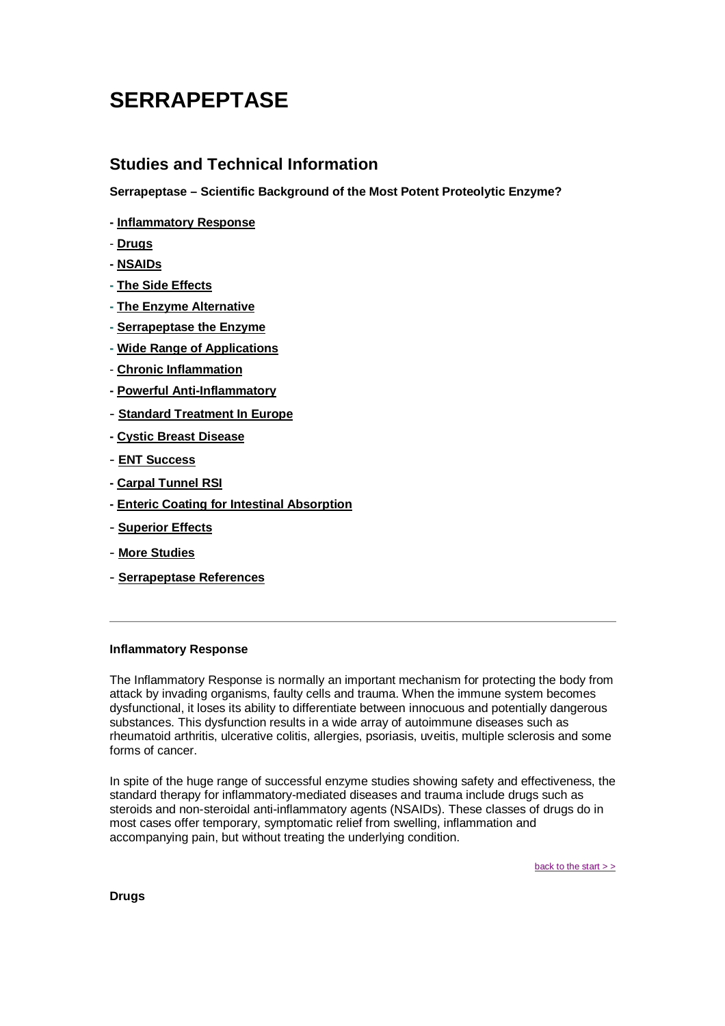# <span id="page-0-0"></span>**SERRAPEPTASE**

# **Studies and Technical Information**

**Serrapeptase – Scientific Background of the Most Potent Proteolytic Enzyme?**

- **Inflammatory Response**
- - **Drugs**
- **- [NSAIDs](#page-1-0)**
- **- [The Side Effects](#page-1-0)**
- **- [The Enzyme Alternative](#page-1-0)**
- **- [Serrapeptase the Enzyme](#page-1-0)**
- **- [Wide Range of Applications](#page-1-0)**
- **[Chronic Inflammation](#page-2-0)**
- **- [Powerful Anti-Inflammatory](#page-2-0)**
- **[Standard Treatment In Europe](#page-2-0)**
- **- [Cystic Breast Disease](#page-3-0)**
- **[ENT Success](#page-3-0)**
- **- [Carpal Tunnel RSI](#page-3-0)**
- **- [Enteric Coating for Intestinal Absorption](#page-3-0)**
- - **[Superior Effects](#page-4-0)**
- **[More Studies](http://www.serrapeptase.info/studies.htm)**
- **[Serrapeptase References](#page-4-0)**

# **Inflammatory Response**

The Inflammatory Response is normally an important mechanism for protecting the body from attack by invading organisms, faulty cells and trauma. When the immune system becomes dysfunctional, it loses its ability to differentiate between innocuous and potentially dangerous substances. This dysfunction results in a wide array of autoimmune diseases such as rheumatoid arthritis, ulcerative colitis, allergies, psoriasis, uveitis, multiple sclerosis and some forms of cancer.

In spite of the huge range of successful enzyme studies showing safety and effectiveness, the standard therapy for inflammatory-mediated diseases and trauma include drugs such as steroids and non-steroidal anti-inflammatory agents (NSAIDs). These classes of drugs do in most cases offer temporary, symptomatic relief from swelling, inflammation and accompanying pain, but without treating the underlying condition.

back to the start > >

**Drugs**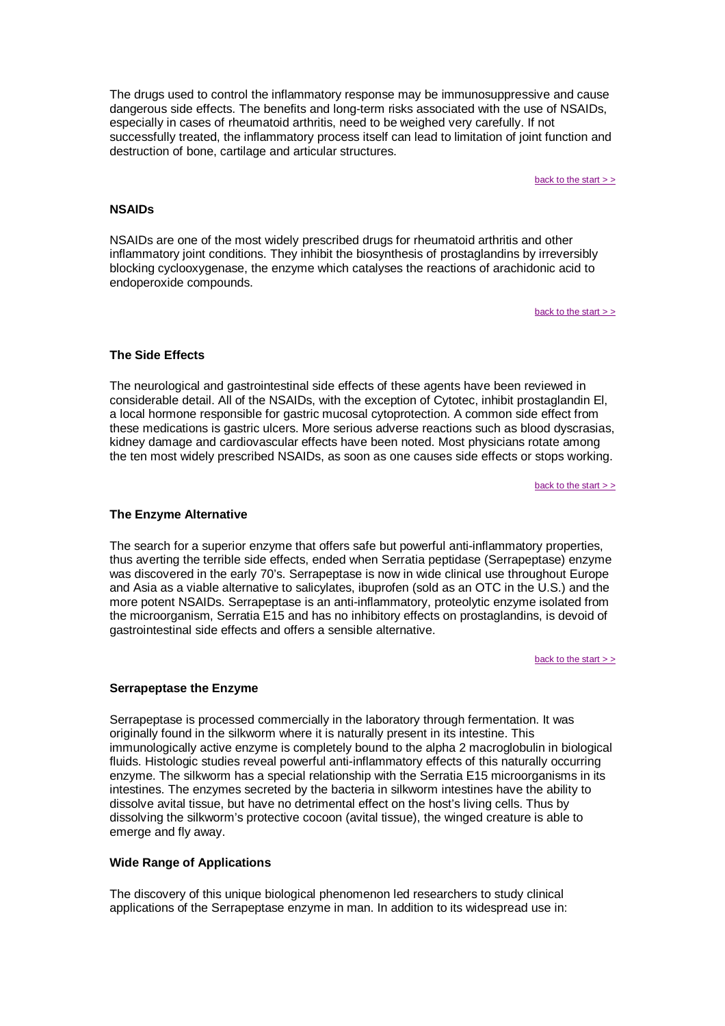<span id="page-1-0"></span>The drugs used to control the inflammatory response may be immunosuppressive and cause dangerous side effects. The benefits and long-term risks associated with the use of NSAIDs, especially in cases of rheumatoid arthritis, need to be weighed very carefully. If not successfully treated, the inflammatory process itself can lead to limitation of joint function and destruction of bone, cartilage and articular structures.

back to the start  $>$   $\geq$ 

## **NSAIDs**

NSAIDs are one of the most widely prescribed drugs for rheumatoid arthritis and other inflammatory joint conditions. They inhibit the biosynthesis of prostaglandins by irreversibly blocking cyclooxygenase, the enzyme which catalyses the reactions of arachidonic acid to endoperoxide compounds.

back to the start  $>$   $>$ 

# **The Side Effects**

The neurological and gastrointestinal side effects of these agents have been reviewed in considerable detail. All of the NSAIDs, with the exception of Cytotec, inhibit prostaglandin El, a local hormone responsible for gastric mucosal cytoprotection. A common side effect from these medications is gastric ulcers. More serious adverse reactions such as blood dyscrasias, kidney damage and cardiovascular effects have been noted. Most physicians rotate among the ten most widely prescribed NSAIDs, as soon as one causes side effects or stops working.

[back to the start > >](#page-0-0)

## **The Enzyme Alternative**

The search for a superior enzyme that offers safe but powerful anti-inflammatory properties, thus averting the terrible side effects, ended when Serratia peptidase (Serrapeptase) enzyme was discovered in the early 70's. Serrapeptase is now in wide clinical use throughout Europe and Asia as a viable alternative to salicylates, ibuprofen (sold as an OTC in the U.S.) and the more potent NSAIDs. Serrapeptase is an anti-inflammatory, proteolytic enzyme isolated from the microorganism, Serratia E15 and has no inhibitory effects on prostaglandins, is devoid of gastrointestinal side effects and offers a sensible alternative.

back to the start  $>$   $>$ 

#### **Serrapeptase the Enzyme**

Serrapeptase is processed commercially in the laboratory through fermentation. It was originally found in the silkworm where it is naturally present in its intestine. This immunologically active enzyme is completely bound to the alpha 2 macroglobulin in biological fluids. Histologic studies reveal powerful anti-inflammatory effects of this naturally occurring enzyme. The silkworm has a special relationship with the Serratia E15 microorganisms in its intestines. The enzymes secreted by the bacteria in silkworm intestines have the ability to dissolve avital tissue, but have no detrimental effect on the host's living cells. Thus by dissolving the silkworm's protective cocoon (avital tissue), the winged creature is able to emerge and fly away.

#### **Wide Range of Applications**

The discovery of this unique biological phenomenon led researchers to study clinical applications of the Serrapeptase enzyme in man. In addition to its widespread use in: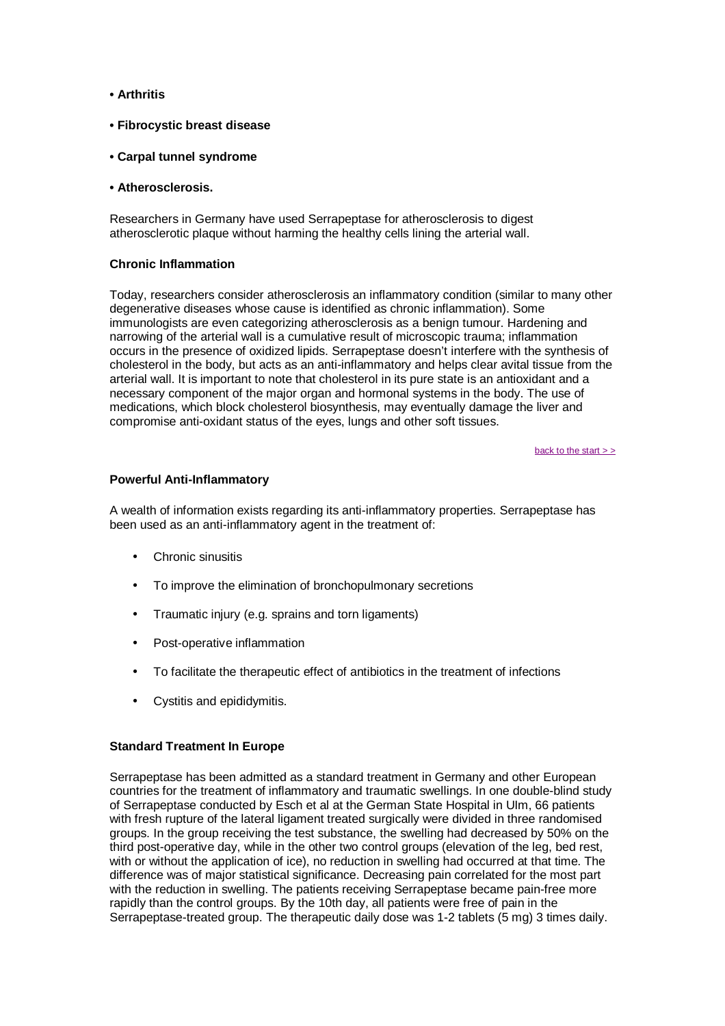- <span id="page-2-0"></span>**• Arthritis**
- **Fibrocystic breast disease**
- **Carpal tunnel syndrome**
- **Atherosclerosis.**

Researchers in Germany have used Serrapeptase for atherosclerosis to digest atherosclerotic plaque without harming the healthy cells lining the arterial wall.

## **Chronic Inflammation**

Today, researchers consider atherosclerosis an inflammatory condition (similar to many other degenerative diseases whose cause is identified as chronic inflammation). Some immunologists are even categorizing atherosclerosis as a benign tumour. Hardening and narrowing of the arterial wall is a cumulative result of microscopic trauma; inflammation occurs in the presence of oxidized lipids. Serrapeptase doesn't interfere with the synthesis of cholesterol in the body, but acts as an anti-inflammatory and helps clear avital tissue from the arterial wall. It is important to note that cholesterol in its pure state is an antioxidant and a necessary component of the major organ and hormonal systems in the body. The use of medications, which block cholesterol biosynthesis, may eventually damage the liver and compromise anti-oxidant status of the eyes, lungs and other soft tissues.

[back to the start > >](#page-0-0)

#### **Powerful Anti-Inflammatory**

A wealth of information exists regarding its anti-inflammatory properties. Serrapeptase has been used as an anti-inflammatory agent in the treatment of:

- Chronic sinusitis
- To improve the elimination of bronchopulmonary secretions
- Traumatic injury (e.g. sprains and torn ligaments)
- Post-operative inflammation
- To facilitate the therapeutic effect of antibiotics in the treatment of infections
- Cystitis and epididymitis.

#### **Standard Treatment In Europe**

Serrapeptase has been admitted as a standard treatment in Germany and other European countries for the treatment of inflammatory and traumatic swellings. In one double-blind study of Serrapeptase conducted by Esch et al at the German State Hospital in UIm, 66 patients with fresh rupture of the lateral ligament treated surgically were divided in three randomised groups. In the group receiving the test substance, the swelling had decreased by 50% on the third post-operative day, while in the other two control groups (elevation of the leg, bed rest, with or without the application of ice), no reduction in swelling had occurred at that time. The difference was of major statistical significance. Decreasing pain correlated for the most part with the reduction in swelling. The patients receiving Serrapeptase became pain-free more rapidly than the control groups. By the 10th day, all patients were free of pain in the Serrapeptase-treated group. The therapeutic daily dose was 1-2 tablets (5 mg) 3 times daily.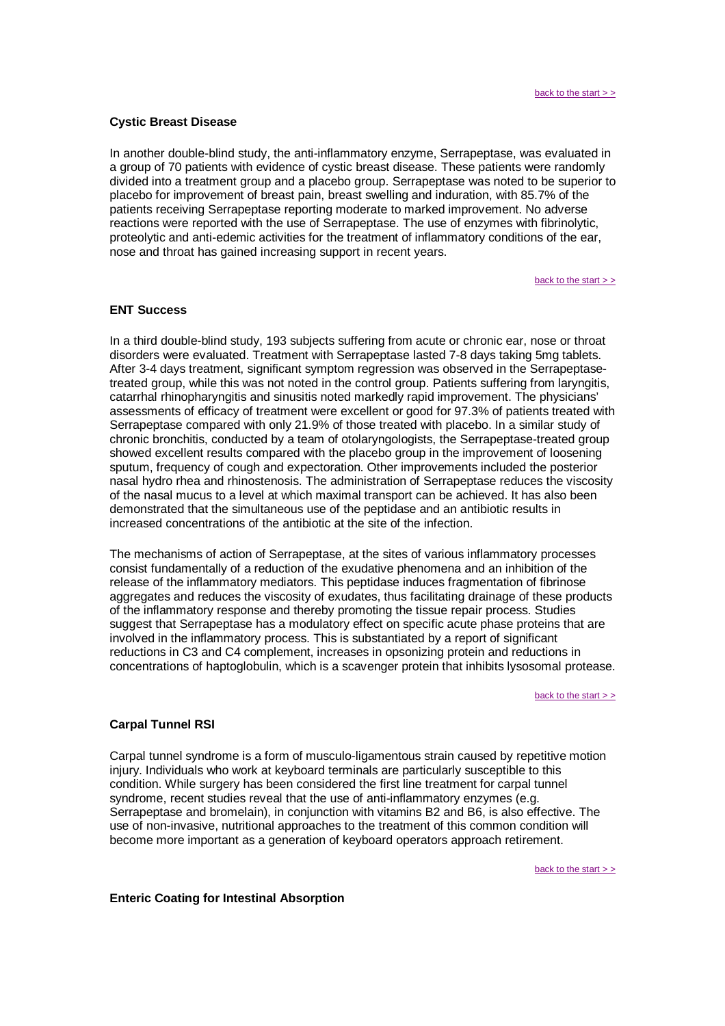#### <span id="page-3-0"></span>**Cystic Breast Disease**

In another double-blind study, the anti-inflammatory enzyme, Serrapeptase, was evaluated in a group of 70 patients with evidence of cystic breast disease. These patients were randomly divided into a treatment group and a placebo group. Serrapeptase was noted to be superior to placebo for improvement of breast pain, breast swelling and induration, with 85.7% of the patients receiving Serrapeptase reporting moderate to marked improvement. No adverse reactions were reported with the use of Serrapeptase. The use of enzymes with fibrinolytic, proteolytic and anti-edemic activities for the treatment of inflammatory conditions of the ear, nose and throat has gained increasing support in recent years.

[back to the start > >](#page-0-0)

#### **ENT Success**

In a third double-blind study, 193 subjects suffering from acute or chronic ear, nose or throat disorders were evaluated. Treatment with Serrapeptase lasted 7-8 days taking 5mg tablets. After 3-4 days treatment, significant symptom regression was observed in the Serrapeptasetreated group, while this was not noted in the control group. Patients suffering from laryngitis, catarrhal rhinopharyngitis and sinusitis noted markedly rapid improvement. The physicians' assessments of efficacy of treatment were excellent or good for 97.3% of patients treated with Serrapeptase compared with only 21.9% of those treated with placebo. In a similar study of chronic bronchitis, conducted by a team of otolaryngologists, the Serrapeptase-treated group showed excellent results compared with the placebo group in the improvement of loosening sputum, frequency of cough and expectoration. Other improvements included the posterior nasal hydro rhea and rhinostenosis. The administration of Serrapeptase reduces the viscosity of the nasal mucus to a level at which maximal transport can be achieved. It has also been demonstrated that the simultaneous use of the peptidase and an antibiotic results in increased concentrations of the antibiotic at the site of the infection.

The mechanisms of action of Serrapeptase, at the sites of various inflammatory processes consist fundamentally of a reduction of the exudative phenomena and an inhibition of the release of the inflammatory mediators. This peptidase induces fragmentation of fibrinose aggregates and reduces the viscosity of exudates, thus facilitating drainage of these products of the inflammatory response and thereby promoting the tissue repair process. Studies suggest that Serrapeptase has a modulatory effect on specific acute phase proteins that are involved in the inflammatory process. This is substantiated by a report of significant reductions in C3 and C4 complement, increases in opsonizing protein and reductions in concentrations of haptoglobulin, which is a scavenger protein that inhibits lysosomal protease.

[back to the start > >](#page-0-0)

#### **Carpal Tunnel RSI**

Carpal tunnel syndrome is a form of musculo-ligamentous strain caused by repetitive motion injury. Individuals who work at keyboard terminals are particularly susceptible to this condition. While surgery has been considered the first line treatment for carpal tunnel syndrome, recent studies reveal that the use of anti-inflammatory enzymes (e.g. Serrapeptase and bromelain), in conjunction with vitamins B2 and B6, is also effective. The use of non-invasive, nutritional approaches to the treatment of this common condition will become more important as a generation of keyboard operators approach retirement.

[back to the start > >](#page-0-0)

#### **Enteric Coating for Intestinal Absorption**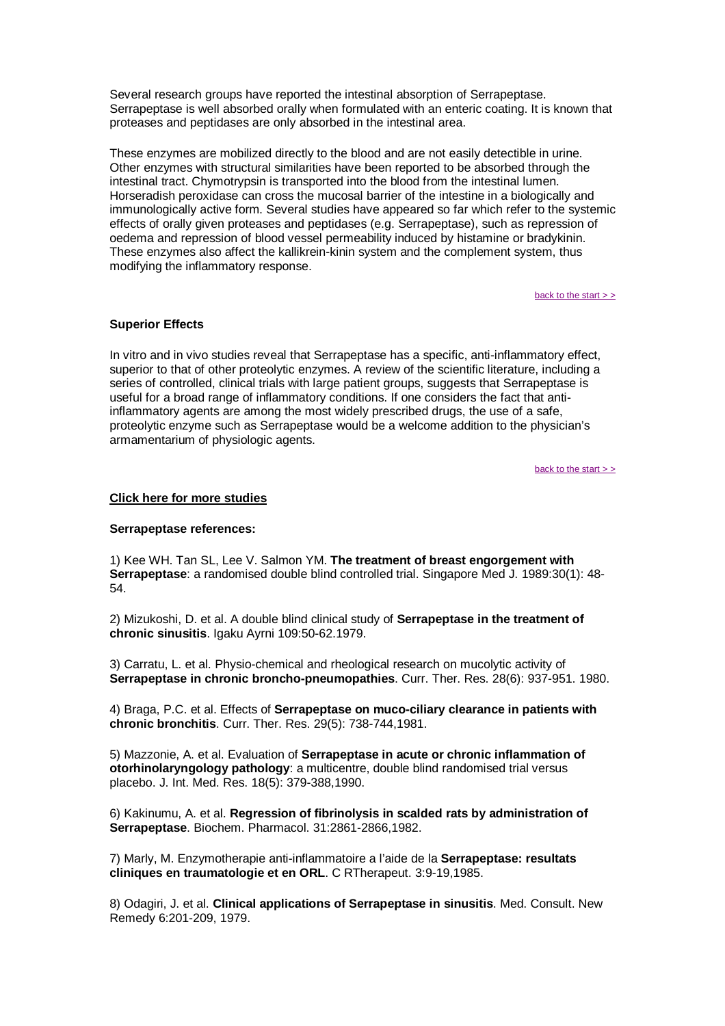<span id="page-4-0"></span>Several research groups have reported the intestinal absorption of Serrapeptase. Serrapeptase is well absorbed orally when formulated with an enteric coating. It is known that proteases and peptidases are only absorbed in the intestinal area.

These enzymes are mobilized directly to the blood and are not easily detectible in urine. Other enzymes with structural similarities have been reported to be absorbed through the intestinal tract. Chymotrypsin is transported into the blood from the intestinal lumen. Horseradish peroxidase can cross the mucosal barrier of the intestine in a biologically and immunologically active form. Several studies have appeared so far which refer to the systemic effects of orally given proteases and peptidases (e.g. Serrapeptase), such as repression of oedema and repression of blood vessel permeability induced by histamine or bradykinin. These enzymes also affect the kallikrein-kinin system and the complement system, thus modifying the inflammatory response.

[back to the start > >](#page-0-0)

## **Superior Effects**

In vitro and in vivo studies reveal that Serrapeptase has a specific, anti-inflammatory effect, superior to that of other proteolytic enzymes. A review of the scientific literature, including a series of controlled, clinical trials with large patient groups, suggests that Serrapeptase is useful for a broad range of inflammatory conditions. If one considers the fact that antiinflammatory agents are among the most widely prescribed drugs, the use of a safe, proteolytic enzyme such as Serrapeptase would be a welcome addition to the physician's armamentarium of physiologic agents.

back to the start  $>$   $>$ 

#### **[Click here for more studies](http://www.serrapeptase.info/studies.htm)**

#### **Serrapeptase references:**

1) Kee WH. Tan SL, Lee V. Salmon YM. **The treatment of breast engorgement with Serrapeptase**: a randomised double blind controlled trial. Singapore Med J. 1989:30(1): 48- 54.

2) Mizukoshi, D. et al. A double blind clinical study of **Serrapeptase in the treatment of chronic sinusitis**. Igaku Ayrni 109:50-62.1979.

3) Carratu, L. et al. Physio-chemical and rheological research on mucolytic activity of **Serrapeptase in chronic broncho-pneumopathies**. Curr. Ther. Res. 28(6): 937-951. 1980.

4) Braga, P.C. et al. Effects of **Serrapeptase on muco-ciliary clearance in patients with chronic bronchitis**. Curr. Ther. Res. 29(5): 738-744,1981.

5) Mazzonie, A. et al. Evaluation of **Serrapeptase in acute or chronic inflammation of otorhinolaryngology pathology**: a multicentre, double blind randomised trial versus placebo. J. Int. Med. Res. 18(5): 379-388,1990.

6) Kakinumu, A. et al. **Regression of fibrinolysis in scalded rats by administration of Serrapeptase**. Biochem. Pharmacol. 31:2861-2866,1982.

7) Marly, M. Enzymotherapie anti-inflammatoire a l'aide de la **Serrapeptase: resultats cliniques en traumatologie et en ORL**. C RTherapeut. 3:9-19,1985.

8) Odagiri, J. et al. **Clinical applications of Serrapeptase in sinusitis**. Med. Consult. New Remedy 6:201-209, 1979.